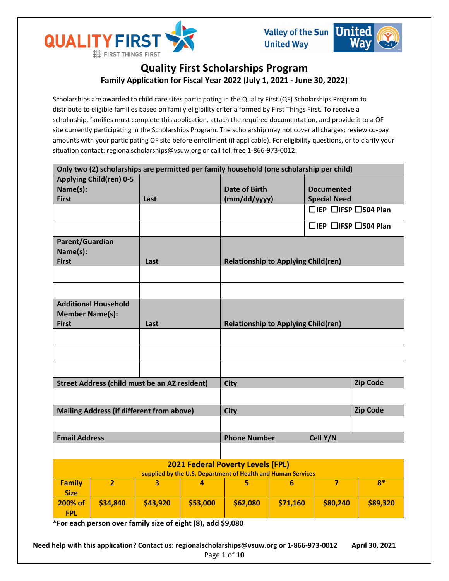



# **Quality First Scholarships Program Family Application for Fiscal Year 2022 (July 1, 2021 - June 30, 2022)**

Scholarships are awarded to child care sites participating in the Quality First (QF) Scholarships Program to distribute to eligible families based on family eligibility criteria formed by First Things First. To receive a scholarship, families must complete this application, attach the required documentation, and provide it to a QF site currently participating in the Scholarships Program. The scholarship may not cover all charges; review co-pay amounts with your participating QF site before enrollment (if applicable). For eligibility questions, or to clarify your situation contact: regionalscholarships@vsuw.org or call toll free 1-866-973-0012.

| Only two (2) scholarships are permitted per family household (one scholarship per child)                 |                                                      |          |          |                                            |                      |                                        |                                        |  |
|----------------------------------------------------------------------------------------------------------|------------------------------------------------------|----------|----------|--------------------------------------------|----------------------|----------------------------------------|----------------------------------------|--|
| <b>Applying Child(ren) 0-5</b>                                                                           |                                                      |          |          |                                            |                      |                                        |                                        |  |
| Name(s):                                                                                                 |                                                      |          |          |                                            | <b>Date of Birth</b> |                                        | <b>Documented</b>                      |  |
| <b>First</b>                                                                                             |                                                      | Last     |          |                                            | (mm/dd/yyyy)         |                                        | <b>Special Need</b>                    |  |
|                                                                                                          |                                                      |          |          |                                            |                      |                                        | $\Box$ IEP $\Box$ IFSP $\Box$ 504 Plan |  |
|                                                                                                          |                                                      |          |          |                                            |                      | $\Box$ IEP $\Box$ IFSP $\Box$ 504 Plan |                                        |  |
| Parent/Guardian<br>Name(s):<br><b>First</b>                                                              |                                                      | Last     |          | <b>Relationship to Applying Child(ren)</b> |                      |                                        |                                        |  |
|                                                                                                          |                                                      |          |          |                                            |                      |                                        |                                        |  |
|                                                                                                          |                                                      |          |          |                                            |                      |                                        |                                        |  |
| <b>Additional Household</b><br><b>Member Name(s):</b><br><b>First</b><br>Last                            |                                                      |          |          | <b>Relationship to Applying Child(ren)</b> |                      |                                        |                                        |  |
|                                                                                                          |                                                      |          |          |                                            |                      |                                        |                                        |  |
|                                                                                                          |                                                      |          |          |                                            |                      |                                        |                                        |  |
|                                                                                                          |                                                      |          |          |                                            |                      |                                        |                                        |  |
|                                                                                                          |                                                      |          |          |                                            |                      |                                        |                                        |  |
|                                                                                                          | <b>Street Address (child must be an AZ resident)</b> |          |          | <b>City</b>                                | <b>Zip Code</b>      |                                        |                                        |  |
|                                                                                                          |                                                      |          |          |                                            |                      |                                        |                                        |  |
| <b>Mailing Address (if different from above)</b>                                                         |                                                      |          |          | <b>City</b>                                |                      |                                        | <b>Zip Code</b>                        |  |
|                                                                                                          |                                                      |          |          |                                            |                      |                                        |                                        |  |
| <b>Email Address</b>                                                                                     |                                                      |          |          | Cell Y/N<br><b>Phone Number</b>            |                      |                                        |                                        |  |
|                                                                                                          |                                                      |          |          |                                            |                      |                                        |                                        |  |
| <b>2021 Federal Poverty Levels (FPL)</b><br>supplied by the U.S. Department of Health and Human Services |                                                      |          |          |                                            |                      |                                        |                                        |  |
| <b>Family</b><br><b>Size</b>                                                                             | $\overline{2}$                                       | 3        | 4        | 5                                          | $6\phantom{1}6$      | $\overline{7}$                         | $8*$                                   |  |
| 200% of<br><b>FPL</b>                                                                                    | \$34,840                                             | \$43,920 | \$53,000 | \$62,080                                   | \$71,160             | \$80,240                               | \$89,320                               |  |

**\*For each person over family size of eight (8), add \$9,080**

**Need help with this application? Contact us: regionalscholarships@vsuw.org or 1-866-973-0012 April 30, 2021** Page **1** of **10**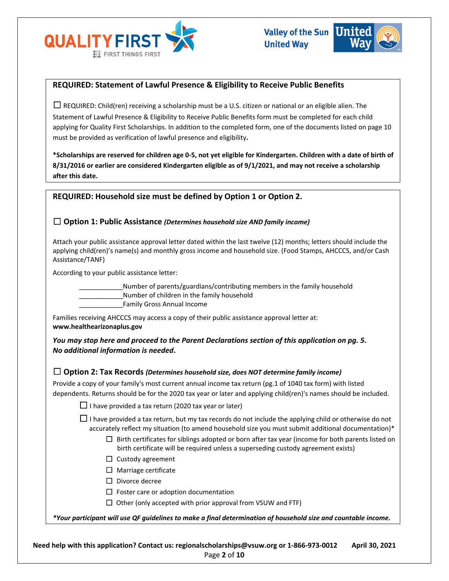



# **REQUIRED: Statement of Lawful Presence & Eligibility to Receive Public Benefits**

 $\Box$  REQUIRED: Child(ren) receiving a scholarship must be a U.S. citizen or national or an eligible alien. The Statement of Lawful Presence & Eligibility to Receive Public Benefits form must be completed for each child applying for Quality First Scholarships. In addition to the completed form, one of the documents listed on page 10 must be provided as verification of lawful presence and eligibility**.** 

**\*Scholarships are reserved for children age 0-5, not yet eligible for Kindergarten. Children with a date of birth of 8/31/2016 or earlier are considered Kindergarten eligible as of 9/1/2021, and may not receive a scholarship after this date.**

# **REQUIRED: Household size must be defined by Option 1 or Option 2.**

# ☐ **Option 1: Public Assistance** *(Determines household size AND family income)*

Attach your public assistance approval letter dated within the last twelve (12) months; letters should include the applying child(ren)'s name(s) and monthly gross income and household size. (Food Stamps, AHCCCS, and/or Cash Assistance/TANF)

According to your public assistance letter:

\_\_\_\_\_\_\_\_\_\_\_\_Number of parents/guardians/contributing members in the family household

Number of children in the family household

\_\_\_\_\_\_\_\_\_\_\_\_Family Gross Annual Income

Families receiving AHCCCS may access a copy of their public assistance approval letter at: **www.healthearizonaplus.gov**

*You may stop here and proceed to the Parent Declarations section of this application on pg. 5. No additional information is needed***.**

### ☐ **Option 2: Tax Records** *(Determines household size, does NOT determine family income)*

Provide a copy of your family's most current annual income tax return (pg.1 of 1040 tax form) with listed dependents. Returns should be for the 2020 tax year or later and applying child(ren)'s names should be included.

 $\Box$  I have provided a tax return (2020 tax year or later)

 $\Box$  I have provided a tax return, but my tax records do not include the applying child or otherwise do not accurately reflect my situation (to amend household size you must submit additional documentation)\*

- $\Box$  Birth certificates for siblings adopted or born after tax year (income for both parents listed on birth certificate will be required unless a superseding custody agreement exists)
- □ Custody agreement
- $\Box$  Marriage certificate
- ☐ Divorce decree
- $\Box$  Foster care or adoption documentation
- $\Box$  Other (only accepted with prior approval from VSUW and FTF)

*\*Your participant will use QF guidelines to make a final determination of household size and countable income.*

**Need help with this application? Contact us: regionalscholarships@vsuw.org or 1-866-973-0012 April 30, 2021** Page **2** of **10**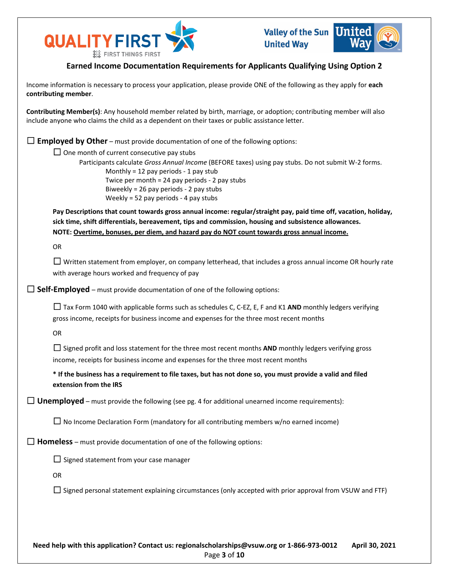



# **Earned Income Documentation Requirements for Applicants Qualifying Using Option 2**

Income information is necessary to process your application, please provide ONE of the following as they apply for **each contributing member**.

**Contributing Member(s)**: Any household member related by birth, marriage, or adoption; contributing member will also include anyone who claims the child as a dependent on their taxes or public assistance letter.

□ **Employed by Other** – must provide documentation of one of the following options:

 $\Box$  One month of current consecutive pay stubs

Participants calculate *Gross Annual Income* (BEFORE taxes) using pay stubs. Do not submit W-2 forms. Monthly = 12 pay periods  $-1$  pay stub Twice per month = 24 pay periods - 2 pay stubs Biweekly = 26 pay periods - 2 pay stubs Weekly = 52 pay periods - 4 pay stubs

**Pay Descriptions that count towards gross annual income: regular/straight pay, paid time off, vacation, holiday, sick time, shift differentials, bereavement, tips and commission, housing and subsistence allowances. NOTE: Overtime, bonuses, per diem, and hazard pay do NOT count towards gross annual income.**

OR

 $\Box$  Written statement from employer, on company letterhead, that includes a gross annual income OR hourly rate with average hours worked and frequency of pay

□ **Self-Employed** – must provide documentation of one of the following options:

☐ Tax Form 1040 with applicable forms such as schedules C, C-EZ, E, F and K1 **AND** monthly ledgers verifying gross income, receipts for business income and expenses for the three most recent months

OR

 $□$  Signed profit and loss statement for the three most recent months **AND** monthly ledgers verifying gross income, receipts for business income and expenses for the three most recent months

**\* If the business has a requirement to file taxes, but has not done so, you must provide a valid and filed extension from the IRS**

 $\Box$  **Unemployed** – must provide the following (see pg. 4 for additional unearned income requirements):

 $\Box$  No Income Declaration Form (mandatory for all contributing members w/no earned income)

 $\Box$  **Homeless** – must provide documentation of one of the following options:

 $\Box$  Signed statement from your case manager

OR

 $\Box$  Signed personal statement explaining circumstances (only accepted with prior approval from VSUW and FTF)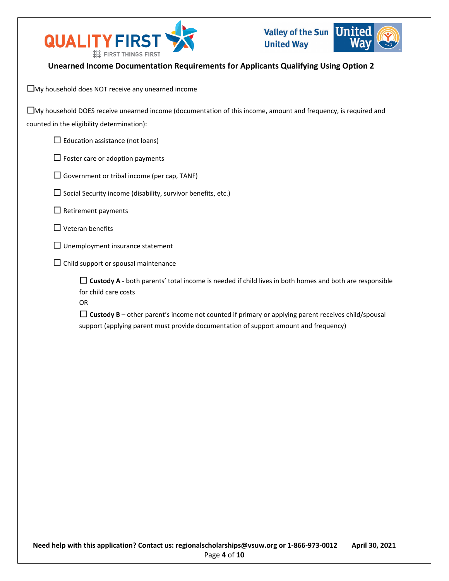

# **Unearned Income Documentation Requirements for Applicants Qualifying Using Option 2**

☐My household does NOT receive any unearned income

| $\square$ My household DOES receive unearned income (documentation of this income, amount and frequency, is required and |
|--------------------------------------------------------------------------------------------------------------------------|
| counted in the eligibility determination):                                                                               |

 $\Box$  Education assistance (not loans)

 $\Box$  Foster care or adoption payments

 $\Box$  Government or tribal income (per cap, TANF)

 $\Box$  Social Security income (disability, survivor benefits, etc.)

 $\Box$  Retirement payments

 $\Box$  Veteran benefits

- $\Box$  Unemployment insurance statement
- $\Box$  Child support or spousal maintenance

 $\Box$  **Custody A** - both parents' total income is needed if child lives in both homes and both are responsible for child care costs

OR

 $\Box$  Custody B – other parent's income not counted if primary or applying parent receives child/spousal support (applying parent must provide documentation of support amount and frequency)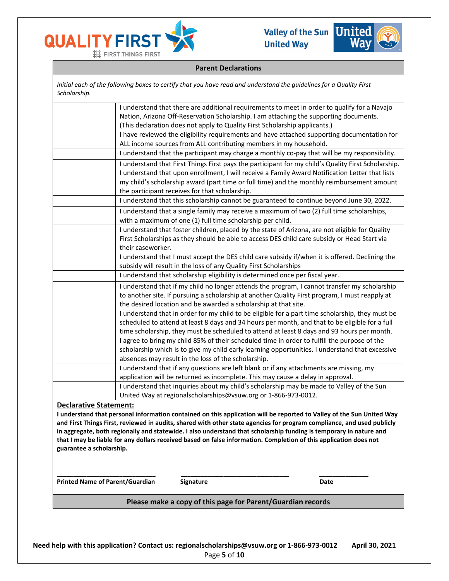



#### **Parent Declarations**

*Initial each of the following boxes to certify that you have read and understand the guidelines for a Quality First Scholarship.*

|                                        | I understand that there are additional requirements to meet in order to qualify for a Navajo                                                                                                                                                                                                                                                           |
|----------------------------------------|--------------------------------------------------------------------------------------------------------------------------------------------------------------------------------------------------------------------------------------------------------------------------------------------------------------------------------------------------------|
|                                        | Nation, Arizona Off-Reservation Scholarship. I am attaching the supporting documents.                                                                                                                                                                                                                                                                  |
|                                        | (This declaration does not apply to Quality First Scholarship applicants.)                                                                                                                                                                                                                                                                             |
|                                        | I have reviewed the eligibility requirements and have attached supporting documentation for                                                                                                                                                                                                                                                            |
|                                        | ALL income sources from ALL contributing members in my household.                                                                                                                                                                                                                                                                                      |
|                                        | I understand that the participant may charge a monthly co-pay that will be my responsibility.                                                                                                                                                                                                                                                          |
|                                        | I understand that First Things First pays the participant for my child's Quality First Scholarship.<br>I understand that upon enrollment, I will receive a Family Award Notification Letter that lists<br>my child's scholarship award (part time or full time) and the monthly reimbursement amount<br>the participant receives for that scholarship. |
|                                        | I understand that this scholarship cannot be guaranteed to continue beyond June 30, 2022.                                                                                                                                                                                                                                                              |
|                                        | I understand that a single family may receive a maximum of two (2) full time scholarships,<br>with a maximum of one (1) full time scholarship per child.                                                                                                                                                                                               |
|                                        | I understand that foster children, placed by the state of Arizona, are not eligible for Quality<br>First Scholarships as they should be able to access DES child care subsidy or Head Start via<br>their caseworker.                                                                                                                                   |
|                                        | I understand that I must accept the DES child care subsidy if/when it is offered. Declining the<br>subsidy will result in the loss of any Quality First Scholarships                                                                                                                                                                                   |
|                                        | I understand that scholarship eligibility is determined once per fiscal year.                                                                                                                                                                                                                                                                          |
|                                        | I understand that if my child no longer attends the program, I cannot transfer my scholarship<br>to another site. If pursuing a scholarship at another Quality First program, I must reapply at<br>the desired location and be awarded a scholarship at that site.                                                                                     |
|                                        | I understand that in order for my child to be eligible for a part time scholarship, they must be<br>scheduled to attend at least 8 days and 34 hours per month, and that to be eligible for a full<br>time scholarship, they must be scheduled to attend at least 8 days and 93 hours per month.                                                       |
|                                        | I agree to bring my child 85% of their scheduled time in order to fulfill the purpose of the<br>scholarship which is to give my child early learning opportunities. I understand that excessive<br>absences may result in the loss of the scholarship.                                                                                                 |
|                                        | I understand that if any questions are left blank or if any attachments are missing, my                                                                                                                                                                                                                                                                |
|                                        | application will be returned as incomplete. This may cause a delay in approval.                                                                                                                                                                                                                                                                        |
|                                        | I understand that inquiries about my child's scholarship may be made to Valley of the Sun                                                                                                                                                                                                                                                              |
|                                        | United Way at regionalscholarships@vsuw.org or 1-866-973-0012.                                                                                                                                                                                                                                                                                         |
| <b>Declarative Statement:</b>          |                                                                                                                                                                                                                                                                                                                                                        |
|                                        | I understand that personal information contained on this application will be reported to Valley of the Sun United Way                                                                                                                                                                                                                                  |
|                                        | and First Things First, reviewed in audits, shared with other state agencies for program compliance, and used publicly                                                                                                                                                                                                                                 |
|                                        | in aggregate, both regionally and statewide. I also understand that scholarship funding is temporary in nature and<br>that I may be liable for any dollars received based on false information. Completion of this application does not                                                                                                                |
| guarantee a scholarship.               |                                                                                                                                                                                                                                                                                                                                                        |
|                                        |                                                                                                                                                                                                                                                                                                                                                        |
|                                        |                                                                                                                                                                                                                                                                                                                                                        |
|                                        |                                                                                                                                                                                                                                                                                                                                                        |
| <b>Printed Name of Parent/Guardian</b> | Signature<br>Date                                                                                                                                                                                                                                                                                                                                      |

### **Please make a copy of this page for Parent/Guardian records**

**Need help with this application? Contact us: regionalscholarships@vsuw.org or 1-866-973-0012 April 30, 2021** Page **5** of **10**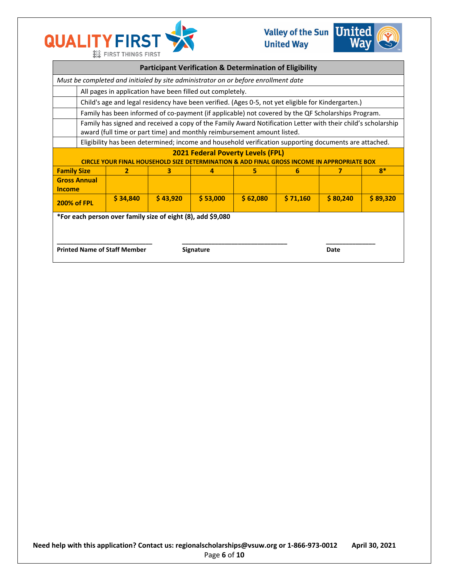



| <b>Participant Verification &amp; Determination of Eligibility</b>                                                             |                                                                                                                                                                                         |          |          |          |          |          |          |          |
|--------------------------------------------------------------------------------------------------------------------------------|-----------------------------------------------------------------------------------------------------------------------------------------------------------------------------------------|----------|----------|----------|----------|----------|----------|----------|
| Must be completed and initialed by site administrator on or before enrollment date                                             |                                                                                                                                                                                         |          |          |          |          |          |          |          |
|                                                                                                                                | All pages in application have been filled out completely.                                                                                                                               |          |          |          |          |          |          |          |
|                                                                                                                                | Child's age and legal residency have been verified. (Ages 0-5, not yet eligible for Kindergarten.)                                                                                      |          |          |          |          |          |          |          |
|                                                                                                                                | Family has been informed of co-payment (if applicable) not covered by the QF Scholarships Program.                                                                                      |          |          |          |          |          |          |          |
|                                                                                                                                | Family has signed and received a copy of the Family Award Notification Letter with their child's scholarship<br>award (full time or part time) and monthly reimbursement amount listed. |          |          |          |          |          |          |          |
|                                                                                                                                | Eligibility has been determined; income and household verification supporting documents are attached.                                                                                   |          |          |          |          |          |          |          |
| <b>2021 Federal Poverty Levels (FPL)</b><br><b>CIRCLE Y</b><br><b>IATE BOX</b>                                                 |                                                                                                                                                                                         |          |          |          |          |          |          |          |
| <b>Family Size</b>                                                                                                             |                                                                                                                                                                                         | 2        | з        | 4        | 5        | 6        | 7        | $R^*$    |
| <b>Income</b>                                                                                                                  | <b>Gross Annual</b>                                                                                                                                                                     |          |          |          |          |          |          |          |
| <b>200% of FPL</b>                                                                                                             |                                                                                                                                                                                         | \$34,840 | \$43,920 | \$53,000 | \$62,080 | \$71,160 | \$80,240 | \$89,320 |
| *For each person over family size of eight (8), add \$9,080<br><b>Printed Name of Staff Member</b><br><b>Signature</b><br>Date |                                                                                                                                                                                         |          |          |          |          |          |          |          |
|                                                                                                                                |                                                                                                                                                                                         |          |          |          |          |          |          |          |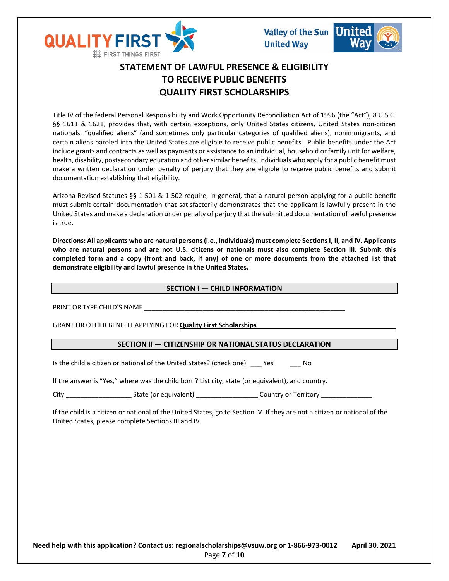



# **STATEMENT OF LAWFUL PRESENCE & ELIGIBILITY TO RECEIVE PUBLIC BENEFITS QUALITY FIRST SCHOLARSHIPS**

Title IV of the federal Personal Responsibility and Work Opportunity Reconciliation Act of 1996 (the "Act"), 8 U.S.C. §§ 1611 & 1621, provides that, with certain exceptions, only United States citizens, United States non-citizen nationals, "qualified aliens" (and sometimes only particular categories of qualified aliens), nonimmigrants, and certain aliens paroled into the United States are eligible to receive public benefits. Public benefits under the Act include grants and contracts as well as payments or assistance to an individual, household or family unit for welfare, health, disability, postsecondary education and other similar benefits. Individuals who apply for a public benefit must make a written declaration under penalty of perjury that they are eligible to receive public benefits and submit documentation establishing that eligibility.

Arizona Revised Statutes §§ 1-501 & 1-502 require, in general, that a natural person applying for a public benefit must submit certain documentation that satisfactorily demonstrates that the applicant is lawfully present in the United States and make a declaration under penalty of perjury that the submitted documentation of lawful presence is true.

**Directions: All applicants who are natural persons (i.e., individuals) must complete SectionsI, II, and IV. Applicants who are natural persons and are not U.S. citizens or nationals must also complete Section III. Submit this completed form and a copy (front and back, if any) of one or more documents from the attached list that demonstrate eligibility and lawful presence in the United States.** 

### **SECTION I — CHILD INFORMATION**

PRINT OR TYPE CHILD'S NAME

GRANT OR OTHER BENEFIT APPLYING FOR **Quality First Scholarships**

### **SECTION II — CITIZENSHIP OR NATIONAL STATUS DECLARATION**

Is the child a citizen or national of the United States? (check one) Yes No

If the answer is "Yes," where was the child born? List city, state (or equivalent), and country.

City City Country or Territory State (or equivalent) Country or Territory Country or Territory

If the child is a citizen or national of the United States, go to Section IV. If they are not a citizen or national of the United States, please complete Sections III and IV.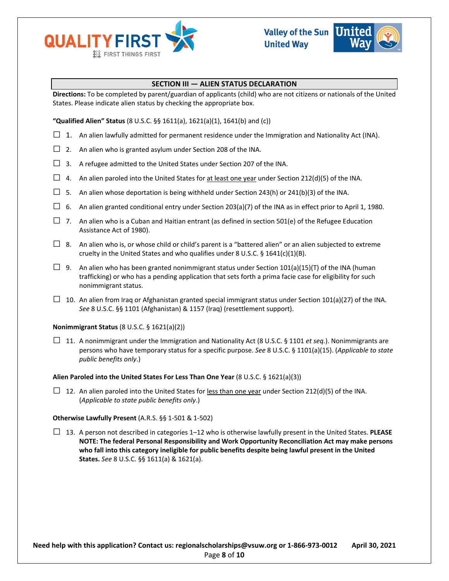



### **SECTION III — ALIEN STATUS DECLARATION**

**Directions:** To be completed by parent/guardian of applicants (child) who are not citizens or nationals of the United States. Please indicate alien status by checking the appropriate box.

**"Qualified Alien" Status** (8 U.S.C. §§ 1611(a), 1621(a)(1), 1641(b) and (c))

- $\Box$  1. An alien lawfully admitted for permanent residence under the Immigration and Nationality Act (INA).
- $\Box$  2. An alien who is granted asylum under Section 208 of the INA.
- $\Box$  3. A refugee admitted to the United States under Section 207 of the INA.
- $\Box$  4. An alien paroled into the United States for at least one year under Section 212(d)(5) of the INA.
- $\square$  5. An alien whose deportation is being withheld under Section 243(h) or 241(b)(3) of the INA.
- $\Box$  6. An alien granted conditional entry under Section 203(a)(7) of the INA as in effect prior to April 1, 1980.
- $\Box$  7. An alien who is a Cuban and Haitian entrant (as defined in section 501(e) of the Refugee Education Assistance Act of 1980).
- $\Box$  8. An alien who is, or whose child or child's parent is a "battered alien" or an alien subjected to extreme cruelty in the United States and who qualifies under 8 U.S.C. § 1641(c)(1)(B).
- □ 9. An alien who has been granted nonimmigrant status under Section 101(a)(15)(T) of the INA (human trafficking) or who has a pending application that sets forth a prima facie case for eligibility for such nonimmigrant status.
- $\Box$  10. An alien from Iraq or Afghanistan granted special immigrant status under Section 101(a)(27) of the INA. *See* 8 U.S.C. §§ 1101 (Afghanistan) & 1157 (Iraq) (resettlement support).

#### **Nonimmigrant Status** (8 U.S.C. § 1621(a)(2))

□ 11. A nonimmigrant under the Immigration and Nationality Act (8 U.S.C. § 1101 *et seq.*). Nonimmigrants are persons who have temporary status for a specific purpose. *See* 8 U.S.C. § 1101(a)(15). (*Applicable to state public benefits only*.)

#### **Alien Paroled into the United States For Less Than One Year** (8 U.S.C. § 1621(a)(3))

 $\Box$  12. An alien paroled into the United States for less than one year under Section 212(d)(5) of the INA. (*Applicable to state public benefits only*.)

#### **Otherwise Lawfully Present** (A.R.S. §§ 1-501 & 1-502)

□ 13. A person not described in categories 1–12 who is otherwise lawfully present in the United States. **PLEASE NOTE: The federal Personal Responsibility and Work Opportunity Reconciliation Act may make persons who fall into this category ineligible for public benefits despite being lawful present in the United States.** *See* 8 U.S.C. §§ 1611(a) & 1621(a).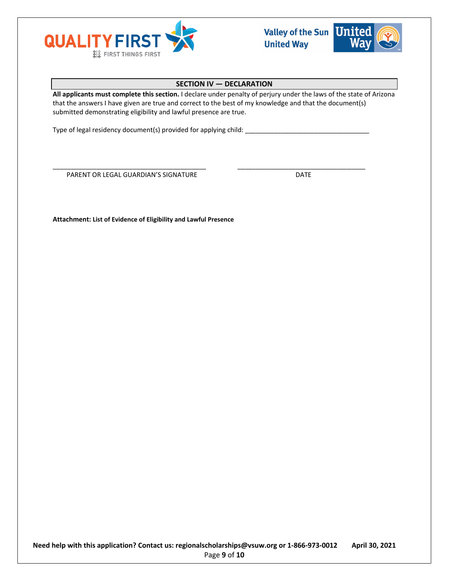



## **SECTION IV — DECLARATION**

**All applicants must complete this section.** I declare under penalty of perjury under the laws of the state of Arizona that the answers I have given are true and correct to the best of my knowledge and that the document(s) submitted demonstrating eligibility and lawful presence are true.

\_\_\_\_\_\_\_\_\_\_\_\_\_\_\_\_\_\_\_\_\_\_\_\_\_\_\_\_\_\_\_\_\_\_\_\_\_\_\_\_\_\_ \_\_\_\_\_\_\_\_\_\_\_\_\_\_\_\_\_\_\_\_\_\_\_\_\_\_\_\_\_\_\_\_\_\_\_

Type of legal residency document(s) provided for applying child: \_\_

PARENT OR LEGAL GUARDIAN'S SIGNATURE **Example 20 SIGNATURE** 

**Attachment: List of Evidence of Eligibility and Lawful Presence**